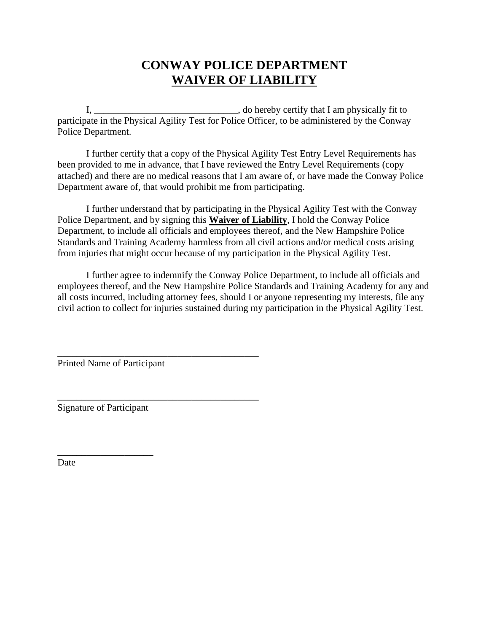## **CONWAY POLICE DEPARTMENT WAIVER OF LIABILITY**

I, \_\_\_\_\_\_\_\_\_\_\_\_\_\_\_\_\_\_\_\_\_\_\_\_\_\_\_\_\_\_\_\_\_, do hereby certify that I am physically fit to participate in the Physical Agility Test for Police Officer, to be administered by the Conway Police Department.

I further certify that a copy of the Physical Agility Test Entry Level Requirements has been provided to me in advance, that I have reviewed the Entry Level Requirements (copy attached) and there are no medical reasons that I am aware of, or have made the Conway Police Department aware of, that would prohibit me from participating.

I further understand that by participating in the Physical Agility Test with the Conway Police Department, and by signing this **Waiver of Liability**, I hold the Conway Police Department, to include all officials and employees thereof, and the New Hampshire Police Standards and Training Academy harmless from all civil actions and/or medical costs arising from injuries that might occur because of my participation in the Physical Agility Test.

I further agree to indemnify the Conway Police Department, to include all officials and employees thereof, and the New Hampshire Police Standards and Training Academy for any and all costs incurred, including attorney fees, should I or anyone representing my interests, file any civil action to collect for injuries sustained during my participation in the Physical Agility Test.

Printed Name of Participant

\_\_\_\_\_\_\_\_\_\_\_\_\_\_\_\_\_\_\_\_\_\_\_\_\_\_\_\_\_\_\_\_\_\_\_\_\_\_\_\_\_\_

\_\_\_\_\_\_\_\_\_\_\_\_\_\_\_\_\_\_\_\_\_\_\_\_\_\_\_\_\_\_\_\_\_\_\_\_\_\_\_\_\_\_

Signature of Participant

\_\_\_\_\_\_\_\_\_\_\_\_\_\_\_\_\_\_\_\_

Date